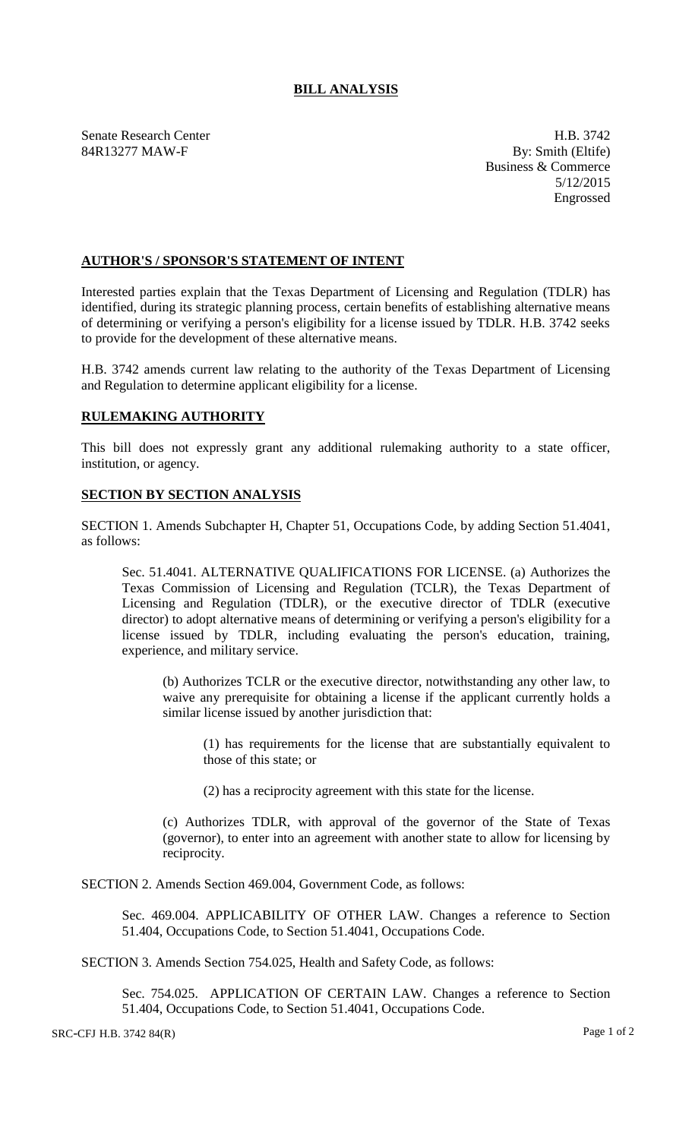## **BILL ANALYSIS**

Senate Research Center **H.B. 3742** 84R13277 MAW-F By: Smith (Eltife)

Business & Commerce 5/12/2015 Engrossed

## **AUTHOR'S / SPONSOR'S STATEMENT OF INTENT**

Interested parties explain that the Texas Department of Licensing and Regulation (TDLR) has identified, during its strategic planning process, certain benefits of establishing alternative means of determining or verifying a person's eligibility for a license issued by TDLR. H.B. 3742 seeks to provide for the development of these alternative means.

H.B. 3742 amends current law relating to the authority of the Texas Department of Licensing and Regulation to determine applicant eligibility for a license.

## **RULEMAKING AUTHORITY**

This bill does not expressly grant any additional rulemaking authority to a state officer, institution, or agency.

## **SECTION BY SECTION ANALYSIS**

SECTION 1. Amends Subchapter H, Chapter 51, Occupations Code, by adding Section 51.4041, as follows:

Sec. 51.4041. ALTERNATIVE QUALIFICATIONS FOR LICENSE. (a) Authorizes the Texas Commission of Licensing and Regulation (TCLR), the Texas Department of Licensing and Regulation (TDLR), or the executive director of TDLR (executive director) to adopt alternative means of determining or verifying a person's eligibility for a license issued by TDLR, including evaluating the person's education, training, experience, and military service.

(b) Authorizes TCLR or the executive director, notwithstanding any other law, to waive any prerequisite for obtaining a license if the applicant currently holds a similar license issued by another jurisdiction that:

(1) has requirements for the license that are substantially equivalent to those of this state; or

(2) has a reciprocity agreement with this state for the license.

(c) Authorizes TDLR, with approval of the governor of the State of Texas (governor), to enter into an agreement with another state to allow for licensing by reciprocity.

SECTION 2. Amends Section 469.004, Government Code, as follows:

Sec. 469.004. APPLICABILITY OF OTHER LAW. Changes a reference to Section 51.404, Occupations Code, to Section 51.4041, Occupations Code.

SECTION 3. Amends Section 754.025, Health and Safety Code, as follows:

Sec. 754.025. APPLICATION OF CERTAIN LAW. Changes a reference to Section 51.404, Occupations Code, to Section 51.4041, Occupations Code.